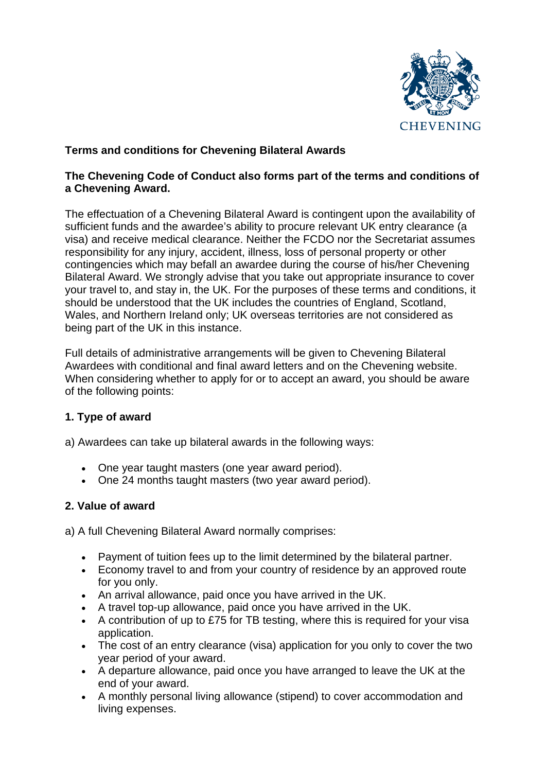

# **Terms and conditions for Chevening Bilateral Awards**

#### **The [Chevening](https://www.chevening.org/current-cheveners/policies-for-2021/code-of-conduct-reporting-an-incident/) Code of Conduct also forms part of the terms and conditions of a Chevening Award.**

The effectuation of a Chevening Bilateral Award is contingent upon the availability of sufficient funds and the awardee's ability to procure relevant UK entry clearance (a visa) and receive medical clearance. Neither the FCDO nor the Secretariat assumes responsibility for any injury, accident, illness, loss of personal property or other contingencies which may befall an awardee during the course of his/her Chevening Bilateral Award. We strongly advise that you take out appropriate insurance to cover your travel to, and stay in, the UK. For the purposes of these terms and conditions, it should be understood that the UK includes the countries of England, Scotland, Wales, and Northern Ireland only; UK overseas territories are not considered as being part of the UK in this instance.

Full details of administrative arrangements will be given to Chevening Bilateral Awardees with conditional and final award letters and on the Chevening website. When considering whether to apply for or to accept an award, you should be aware of the following points:

## **1. Type of award**

a) Awardees can take up bilateral awards in the following ways:

- One year taught masters (one year award period).
- One 24 months taught masters (two year award period).

## **2. Value of award**

a) A full Chevening Bilateral Award normally comprises:

- Payment of tuition fees up to the limit determined by the bilateral partner.
- Economy travel to and from your country of residence by an approved route for you only.
- An arrival allowance, paid once you have arrived in the UK.
- A travel top-up allowance, paid once you have arrived in the UK.
- A contribution of up to £75 for TB testing, where this is required for your visa application.
- The cost of an entry clearance (visa) application for you only to cover the two year period of your award.
- A departure allowance, paid once you have arranged to leave the UK at the end of your award.
- A monthly personal living allowance (stipend) to cover accommodation and living expenses.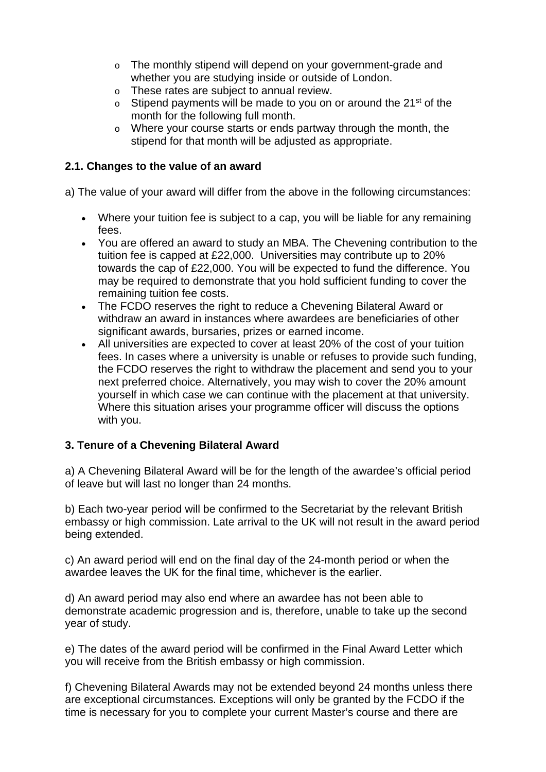- o The monthly stipend will depend on your government-grade and whether you are studying inside or outside of London.
- o These rates are subject to annual review.
- $\circ$  Stipend payments will be made to you on or around the 21<sup>st</sup> of the month for the following full month.
- o Where your course starts or ends partway through the month, the stipend for that month will be adjusted as appropriate.

#### **2.1. Changes to the value of an award**

a) The value of your award will differ from the above in the following circumstances:

- Where your tuition fee is subject to a cap, you will be liable for any remaining fees.
- You are offered an award to study an MBA. The Chevening contribution to the tuition fee is capped at £22,000. Universities may contribute up to 20% towards the cap of £22,000. You will be expected to fund the difference. You may be required to demonstrate that you hold sufficient funding to cover the remaining tuition fee costs.
- The FCDO reserves the right to reduce a Chevening Bilateral Award or withdraw an award in instances where awardees are beneficiaries of other significant awards, bursaries, prizes or earned income.
- All universities are expected to cover at least 20% of the cost of your tuition fees. In cases where a university is unable or refuses to provide such funding, the FCDO reserves the right to withdraw the placement and send you to your next preferred choice. Alternatively, you may wish to cover the 20% amount yourself in which case we can continue with the placement at that university. Where this situation arises your programme officer will discuss the options with you.

## **3. Tenure of a Chevening Bilateral Award**

a) A Chevening Bilateral Award will be for the length of the awardee's official period of leave but will last no longer than 24 months.

b) Each two-year period will be confirmed to the Secretariat by the relevant British embassy or high commission. Late arrival to the UK will not result in the award period being extended.

c) An award period will end on the final day of the 24-month period or when the awardee leaves the UK for the final time, whichever is the earlier.

d) An award period may also end where an awardee has not been able to demonstrate academic progression and is, therefore, unable to take up the second year of study.

e) The dates of the award period will be confirmed in the Final Award Letter which you will receive from the British embassy or high commission.

f) Chevening Bilateral Awards may not be extended beyond 24 months unless there are exceptional circumstances. Exceptions will only be granted by the FCDO if the time is necessary for you to complete your current Master's course and there are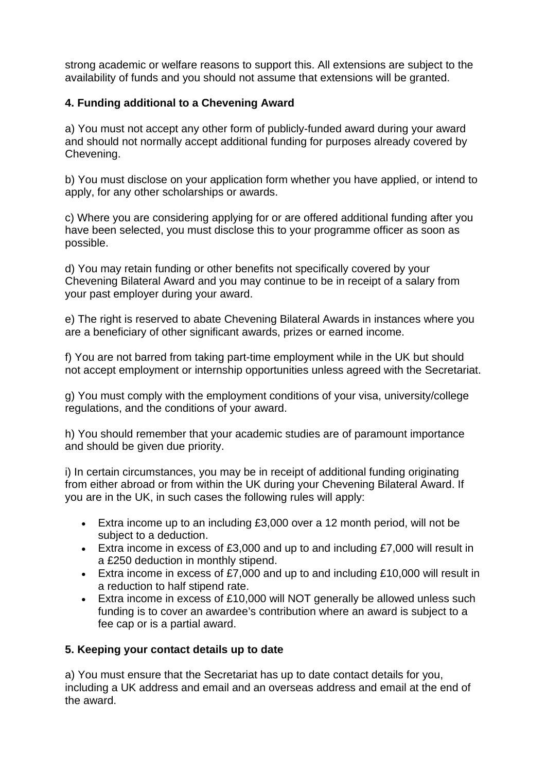strong academic or welfare reasons to support this. All extensions are subject to the availability of funds and you should not assume that extensions will be granted.

## **4. Funding additional to a Chevening Award**

a) You must not accept any other form of publicly-funded award during your award and should not normally accept additional funding for purposes already covered by Chevening.

b) You must disclose on your application form whether you have applied, or intend to apply, for any other scholarships or awards.

c) Where you are considering applying for or are offered additional funding after you have been selected, you must disclose this to your programme officer as soon as possible.

d) You may retain funding or other benefits not specifically covered by your Chevening Bilateral Award and you may continue to be in receipt of a salary from your past employer during your award.

e) The right is reserved to abate Chevening Bilateral Awards in instances where you are a beneficiary of other significant awards, prizes or earned income.

f) You are not barred from taking part-time employment while in the UK but should not accept employment or internship opportunities unless agreed with the Secretariat.

g) You must comply with the employment conditions of your visa, university/college regulations, and the conditions of your award.

h) You should remember that your academic studies are of paramount importance and should be given due priority.

i) In certain circumstances, you may be in receipt of additional funding originating from either abroad or from within the UK during your Chevening Bilateral Award. If you are in the UK, in such cases the following rules will apply:

- Extra income up to an including £3,000 over a 12 month period, will not be subject to a deduction.
- Extra income in excess of £3,000 and up to and including £7,000 will result in a £250 deduction in monthly stipend.
- Extra income in excess of £7,000 and up to and including £10,000 will result in a reduction to half stipend rate.
- Extra income in excess of £10,000 will NOT generally be allowed unless such funding is to cover an awardee's contribution where an award is subject to a fee cap or is a partial award.

## **5. Keeping your contact details up to date**

a) You must ensure that the Secretariat has up to date contact details for you, including a UK address and email and an overseas address and email at the end of the award.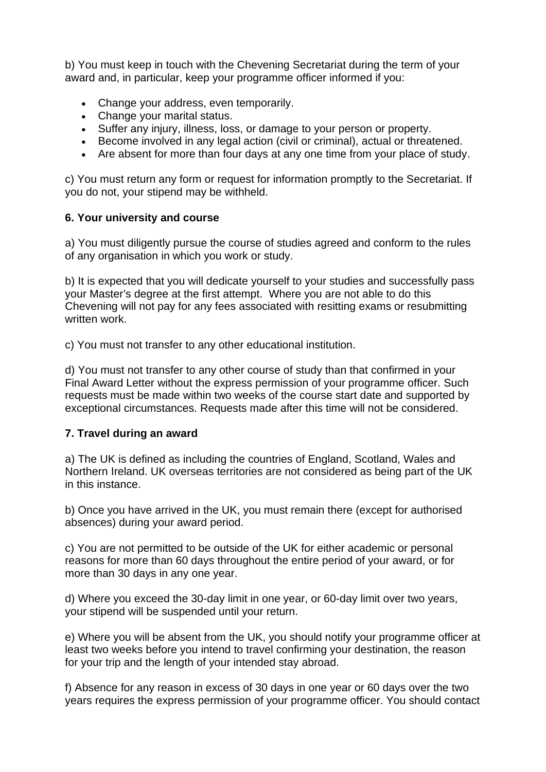b) You must keep in touch with the Chevening Secretariat during the term of your award and, in particular, keep your programme officer informed if you:

- Change your address, even temporarily.
- Change your marital status.
- Suffer any injury, illness, loss, or damage to your person or property.
- Become involved in any legal action (civil or criminal), actual or threatened.
- Are absent for more than four days at any one time from your place of study.

c) You must return any form or request for information promptly to the Secretariat. If you do not, your stipend may be withheld.

#### **6. Your university and course**

a) You must diligently pursue the course of studies agreed and conform to the rules of any organisation in which you work or study.

b) It is expected that you will dedicate yourself to your studies and successfully pass your Master's degree at the first attempt. Where you are not able to do this Chevening will not pay for any fees associated with resitting exams or resubmitting written work.

c) You must not transfer to any other educational institution.

d) You must not transfer to any other course of study than that confirmed in your Final Award Letter without the express permission of your programme officer. Such requests must be made within two weeks of the course start date and supported by exceptional circumstances. Requests made after this time will not be considered.

#### **7. Travel during an award**

a) The UK is defined as including the countries of England, Scotland, Wales and Northern Ireland. UK overseas territories are not considered as being part of the UK in this instance.

b) Once you have arrived in the UK, you must remain there (except for authorised absences) during your award period.

c) You are not permitted to be outside of the UK for either academic or personal reasons for more than 60 days throughout the entire period of your award, or for more than 30 days in any one year.

d) Where you exceed the 30-day limit in one year, or 60-day limit over two years, your stipend will be suspended until your return.

e) Where you will be absent from the UK, you should notify your programme officer at least two weeks before you intend to travel confirming your destination, the reason for your trip and the length of your intended stay abroad.

f) Absence for any reason in excess of 30 days in one year or 60 days over the two years requires the express permission of your programme officer. You should contact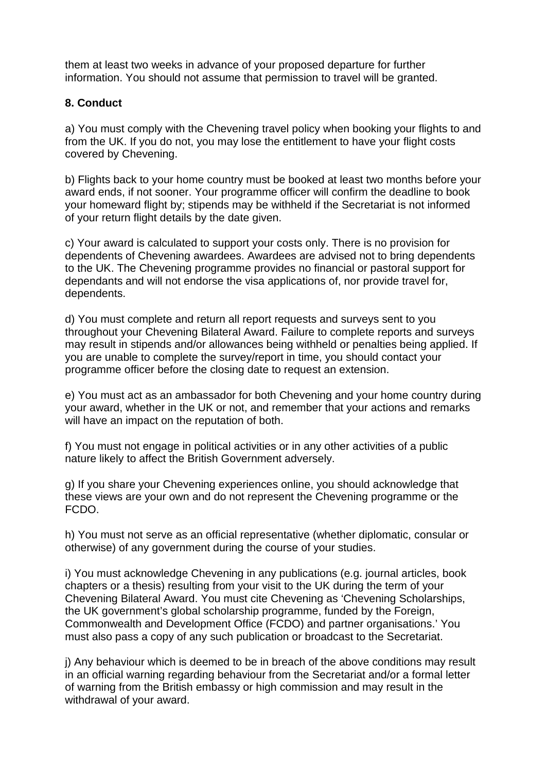them at least two weeks in advance of your proposed departure for further information. You should not assume that permission to travel will be granted.

#### **8. Conduct**

a) You must comply with the Chevening travel policy when booking your flights to and from the UK. If you do not, you may lose the entitlement to have your flight costs covered by Chevening.

b) Flights back to your home country must be booked at least two months before your award ends, if not sooner. Your programme officer will confirm the deadline to book your homeward flight by; stipends may be withheld if the Secretariat is not informed of your return flight details by the date given.

c) Your award is calculated to support your costs only. There is no provision for dependents of Chevening awardees. Awardees are advised not to bring dependents to the UK. The Chevening programme provides no financial or pastoral support for dependants and will not endorse the visa applications of, nor provide travel for, dependents.

d) You must complete and return all report requests and surveys sent to you throughout your Chevening Bilateral Award. Failure to complete reports and surveys may result in stipends and/or allowances being withheld or penalties being applied. If you are unable to complete the survey/report in time, you should contact your programme officer before the closing date to request an extension.

e) You must act as an ambassador for both Chevening and your home country during your award, whether in the UK or not, and remember that your actions and remarks will have an impact on the reputation of both.

f) You must not engage in political activities or in any other activities of a public nature likely to affect the British Government adversely.

g) If you share your Chevening experiences online, you should acknowledge that these views are your own and do not represent the Chevening programme or the FCDO.

h) You must not serve as an official representative (whether diplomatic, consular or otherwise) of any government during the course of your studies.

i) You must acknowledge Chevening in any publications (e.g. journal articles, book chapters or a thesis) resulting from your visit to the UK during the term of your Chevening Bilateral Award. You must cite Chevening as 'Chevening Scholarships, the UK government's global scholarship programme, funded by the Foreign, Commonwealth and Development Office (FCDO) and partner organisations.' You must also pass a copy of any such publication or broadcast to the Secretariat.

j) Any behaviour which is deemed to be in breach of the above conditions may result in an official warning regarding behaviour from the Secretariat and/or a formal letter of warning from the British embassy or high commission and may result in the withdrawal of your award.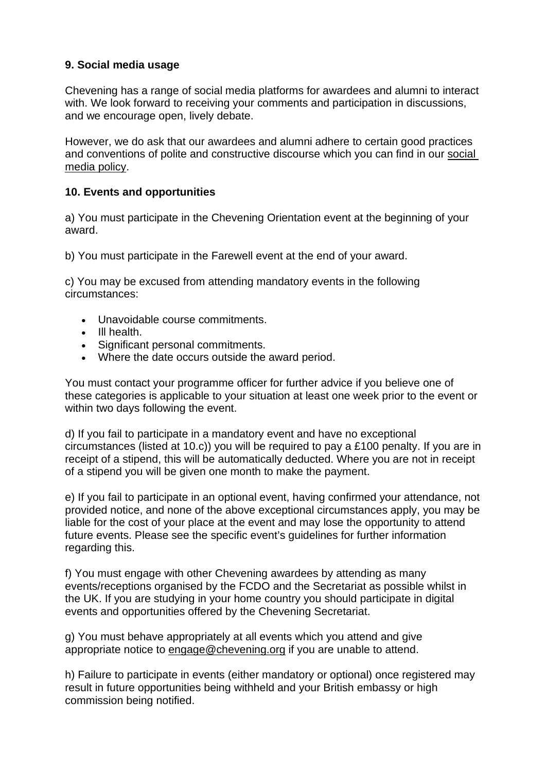## **9. Social media usage**

Chevening has a range of social media platforms for awardees and alumni to interact with. We look forward to receiving your comments and participation in discussions, and we encourage open, lively debate.

However, we do ask that our awardees and alumni adhere to certain good practices and conventions of polite and constructive discourse which you can find in our [social](https://www.chevening.org/current-cheveners/policies-for-2021/social-media-and-messaging/) media [policy.](https://www.chevening.org/current-cheveners/policies-for-2021/social-media-and-messaging/)

#### **10. Events and opportunities**

a) You must participate in the Chevening Orientation event at the beginning of your award.

b) You must participate in the Farewell event at the end of your award.

c) You may be excused from attending mandatory events in the following circumstances:

- Unavoidable course commitments.
- Ill health.
- Significant personal commitments.
- Where the date occurs outside the award period.

You must contact your programme officer for further advice if you believe one of these categories is applicable to your situation at least one week prior to the event or within two days following the event.

d) If you fail to participate in a mandatory event and have no exceptional circumstances (listed at 10.c)) you will be required to pay a £100 penalty. If you are in receipt of a stipend, this will be automatically deducted. Where you are not in receipt of a stipend you will be given one month to make the payment.

e) If you fail to participate in an optional event, having confirmed your attendance, not provided notice, and none of the above exceptional circumstances apply, you may be liable for the cost of your place at the event and may lose the opportunity to attend future events. Please see the specific event's guidelines for further information regarding this.

f) You must engage with other Chevening awardees by attending as many events/receptions organised by the FCDO and the Secretariat as possible whilst in the UK. If you are studying in your home country you should participate in digital events and opportunities offered by the Chevening Secretariat.

g) You must behave appropriately at all events which you attend and give appropriate notice to [engage@chevening.org](mailto:engage@chevening.org) if you are unable to attend.

h) Failure to participate in events (either mandatory or optional) once registered may result in future opportunities being withheld and your British embassy or high commission being notified.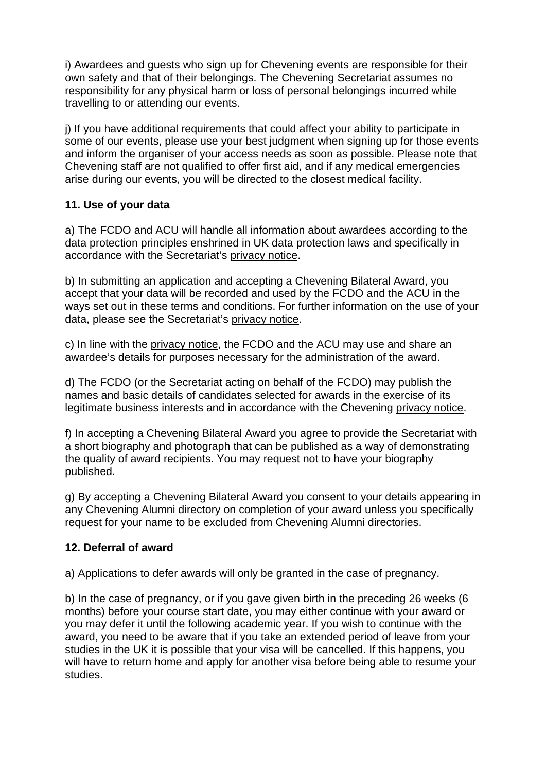i) Awardees and guests who sign up for Chevening events are responsible for their own safety and that of their belongings. The Chevening Secretariat assumes no responsibility for any physical harm or loss of personal belongings incurred while travelling to or attending our events.

j) If you have additional requirements that could affect your ability to participate in some of our events, please use your best judgment when signing up for those events and inform the organiser of your access needs as soon as possible. Please note that Chevening staff are not qualified to offer first aid, and if any medical emergencies arise during our events, you will be directed to the closest medical facility.

#### **11. Use of your data**

a) The FCDO and ACU will handle all information about awardees according to the data protection principles enshrined in UK data protection laws and specifically in accordance with the Secretariat's [privacy](https://www.chevening.org/about/privacy-notice/) notice.

b) In submitting an application and accepting a Chevening Bilateral Award, you accept that your data will be recorded and used by the FCDO and the ACU in the ways set out in these terms and conditions. For further information on the use of your data, please see the Secretariat's [privacy](https://www.chevening.org/about/privacy-notice/) notice.

c) In line with the [privacy](https://www.chevening.org/about/privacy-notice/) notice, the FCDO and the ACU may use and share an awardee's details for purposes necessary for the administration of the award.

d) The FCDO (or the Secretariat acting on behalf of the FCDO) may publish the names and basic details of candidates selected for awards in the exercise of its legitimate business interests and in accordance with the Chevening [privacy](https://www.chevening.org/about/privacy-notice/) notice.

f) In accepting a Chevening Bilateral Award you agree to provide the Secretariat with a short biography and photograph that can be published as a way of demonstrating the quality of award recipients. You may request not to have your biography published.

g) By accepting a Chevening Bilateral Award you consent to your details appearing in any Chevening Alumni directory on completion of your award unless you specifically request for your name to be excluded from Chevening Alumni directories.

## **12. Deferral of award**

a) Applications to defer awards will only be granted in the case of pregnancy.

b) In the case of pregnancy, or if you gave given birth in the preceding 26 weeks (6 months) before your course start date, you may either continue with your award or you may defer it until the following academic year. If you wish to continue with the award, you need to be aware that if you take an extended period of leave from your studies in the UK it is possible that your visa will be cancelled. If this happens, you will have to return home and apply for another visa before being able to resume your studies.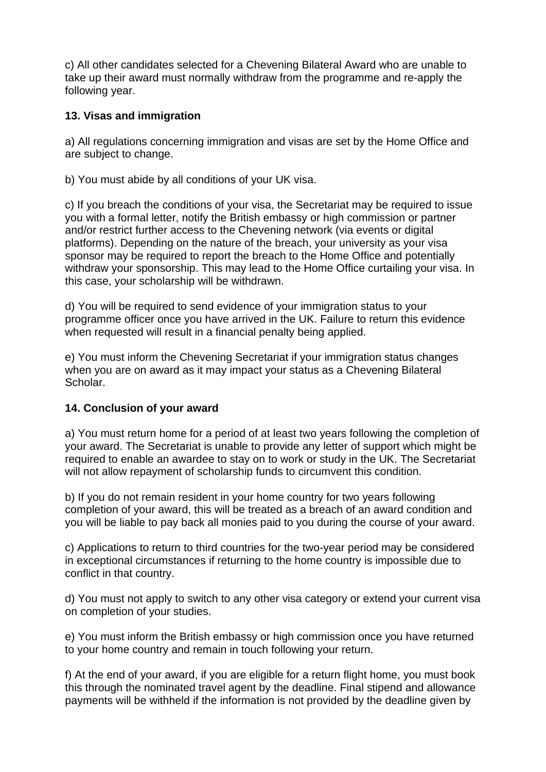c) All other candidates selected for a Chevening Bilateral Award who are unable to take up their award must normally withdraw from the programme and re-apply the following year.

## **13. Visas and immigration**

a) All regulations concerning immigration and visas are set by the Home Office and are subject to change.

b) You must abide by all conditions of your UK visa.

c) If you breach the conditions of your visa, the Secretariat may be required to issue you with a formal letter, notify the British embassy or high commission or partner and/or restrict further access to the Chevening network (via events or digital platforms). Depending on the nature of the breach, your university as your visa sponsor may be required to report the breach to the Home Office and potentially withdraw your sponsorship. This may lead to the Home Office curtailing your visa. In this case, your scholarship will be withdrawn.

d) You will be required to send evidence of your immigration status to your programme officer once you have arrived in the UK. Failure to return this evidence when requested will result in a financial penalty being applied.

e) You must inform the Chevening Secretariat if your immigration status changes when you are on award as it may impact your status as a Chevening Bilateral Scholar.

## **14. Conclusion of your award**

a) You must return home for a period of at least two years following the completion of your award. The Secretariat is unable to provide any letter of support which might be required to enable an awardee to stay on to work or study in the UK. The Secretariat will not allow repayment of scholarship funds to circumvent this condition.

b) If you do not remain resident in your home country for two years following completion of your award, this will be treated as a breach of an award condition and you will be liable to pay back all monies paid to you during the course of your award.

c) Applications to return to third countries for the two-year period may be considered in exceptional circumstances if returning to the home country is impossible due to conflict in that country.

d) You must not apply to switch to any other visa category or extend your current visa on completion of your studies.

e) You must inform the British embassy or high commission once you have returned to your home country and remain in touch following your return.

f) At the end of your award, if you are eligible for a return flight home, you must book this through the nominated travel agent by the deadline. Final stipend and allowance payments will be withheld if the information is not provided by the deadline given by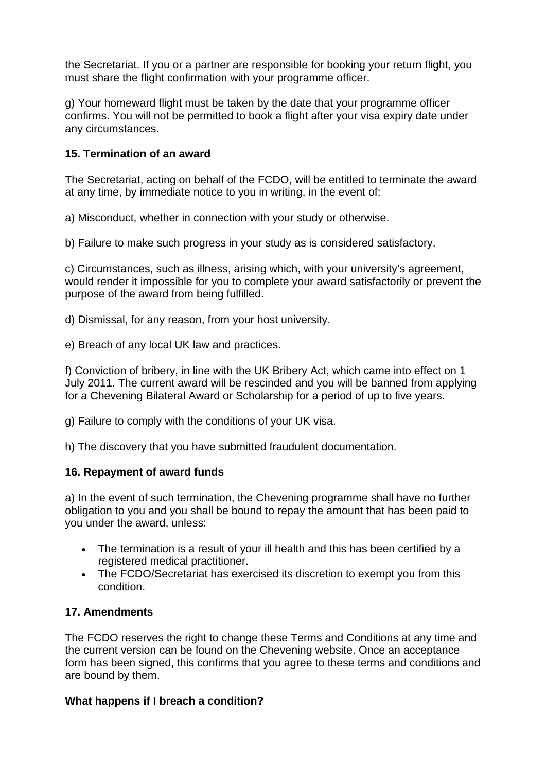the Secretariat. If you or a partner are responsible for booking your return flight, you must share the flight confirmation with your programme officer.

g) Your homeward flight must be taken by the date that your programme officer confirms. You will not be permitted to book a flight after your visa expiry date under any circumstances.

#### **15. Termination of an award**

The Secretariat, acting on behalf of the FCDO, will be entitled to terminate the award at any time, by immediate notice to you in writing, in the event of:

a) Misconduct, whether in connection with your study or otherwise.

b) Failure to make such progress in your study as is considered satisfactory.

c) Circumstances, such as illness, arising which, with your university's agreement, would render it impossible for you to complete your award satisfactorily or prevent the purpose of the award from being fulfilled.

d) Dismissal, for any reason, from your host university.

e) Breach of any local UK law and practices.

f) Conviction of bribery, in line with the UK Bribery Act, which came into effect on 1 July 2011. The current award will be rescinded and you will be banned from applying for a Chevening Bilateral Award or Scholarship for a period of up to five years.

g) Failure to comply with the conditions of your UK visa.

h) The discovery that you have submitted fraudulent documentation.

#### **16. Repayment of award funds**

a) In the event of such termination, the Chevening programme shall have no further obligation to you and you shall be bound to repay the amount that has been paid to you under the award, unless:

- The termination is a result of your ill health and this has been certified by a registered medical practitioner.
- The FCDO/Secretariat has exercised its discretion to exempt you from this condition.

## **17. Amendments**

The FCDO reserves the right to change these Terms and Conditions at any time and the current version can be found on the Chevening website. Once an acceptance form has been signed, this confirms that you agree to these terms and conditions and are bound by them.

#### **What happens if I breach a condition?**